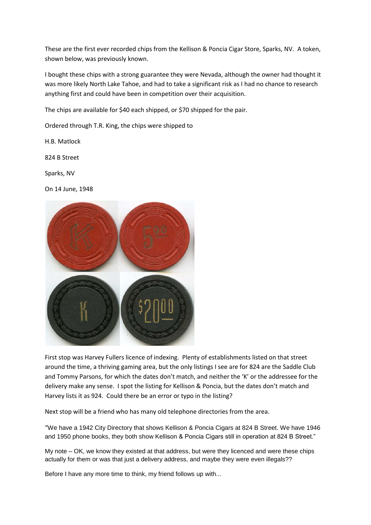These are the first ever recorded chips from the Kellison & Poncia Cigar Store, Sparks, NV. A token, shown below, was previously known.

I bought these chips with a strong guarantee they were Nevada, although the owner had thought it was more likely North Lake Tahoe, and had to take a significant risk as I had no chance to research anything first and could have been in competition over their acquisition.

The chips are available for \$40 each shipped, or \$70 shipped for the pair.

Ordered through T.R. King, the chips were shipped to

H.B. Matlock

824 B Street

Sparks, NV

On 14 June, 1948



First stop was Harvey Fullers licence of indexing. Plenty of establishments listed on that street around the time, a thriving gaming area, but the only listings I see are for 824 are the Saddle Club and Tommy Parsons, for which the dates don't match, and neither the 'K' or the addressee for the delivery make any sense. I spot the listing for Kellison & Poncia, but the dates don't match and Harvey lists it as 924. Could there be an error or typo in the listing?

Next stop will be a friend who has many old telephone directories from the area.

"We have a 1942 City Directory that shows Kellison & Poncia Cigars at 824 B Street. We have 1946 and 1950 phone books, they both show Kellison & Poncia Cigars still in operation at 824 B Street."

My note – OK, we know they existed at that address, but were they licenced and were these chips actually for them or was that just a delivery address, and maybe they were even illegals??

Before I have any more time to think, my friend follows up with...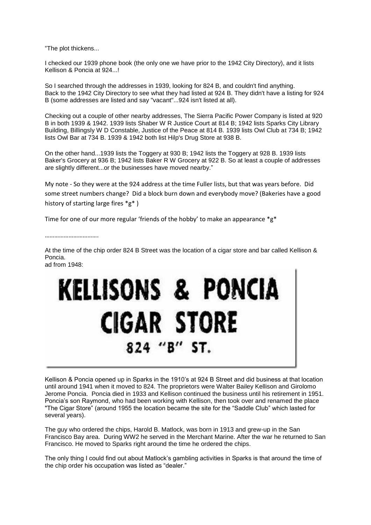"The plot thickens...

I checked our 1939 phone book (the only one we have prior to the 1942 City Directory), and it lists Kellison & Poncia at 924...!

So I searched through the addresses in 1939, looking for 824 B, and couldn't find anything. Back to the 1942 City Directory to see what they had listed at 924 B. They didn't have a listing for 924 B (some addresses are listed and say "vacant"...924 isn't listed at all).

Checking out a couple of other nearby addresses, The Sierra Pacific Power Company is listed at 920 B in both 1939 & 1942. 1939 lists Shaber W R Justice Court at 814 B; 1942 lists Sparks City Library Building, Billingsly W D Constable, Justice of the Peace at 814 B. 1939 lists Owl Club at 734 B; 1942 lists Owl Bar at 734 B. 1939 & 1942 both list Hilp's Drug Store at 938 B.

On the other hand...1939 lists the Toggery at 930 B; 1942 lists the Toggery at 928 B. 1939 lists Baker's Grocery at 936 B; 1942 lists Baker R W Grocery at 922 B. So at least a couple of addresses are slightly different...or the businesses have moved nearby."

My note - So they were at the 924 address at the time Fuller lists, but that was years before. Did some street numbers change? Did a block burn down and everybody move? (Bakeries have a good history of starting large fires \*g\* )

Time for one of our more regular 'friends of the hobby' to make an appearance \*g\*

…………………………….

At the time of the chip order 824 B Street was the location of a cigar store and bar called Kellison & Poncia. ad from 1948:

## **KELLISONS & PONCIA CIGAR STORE** 824 "B" ST.

Kellison & Poncia opened up in Sparks in the 1910's at 924 B Street and did business at that location until around 1941 when it moved to 824. The proprietors were Walter Bailey Kellison and Girolomo Jerome Poncia. Poncia died in 1933 and Kellison continued the business until his retirement in 1951. Poncia's son Raymond, who had been working with Kellison, then took over and renamed the place "The Cigar Store" (around 1955 the location became the site for the "Saddle Club" which lasted for several years).

The guy who ordered the chips, Harold B. Matlock, was born in 1913 and grew-up in the San Francisco Bay area. During WW2 he served in the Merchant Marine. After the war he returned to San Francisco. He moved to Sparks right around the time he ordered the chips.

The only thing I could find out about Matlock's gambling activities in Sparks is that around the time of the chip order his occupation was listed as "dealer."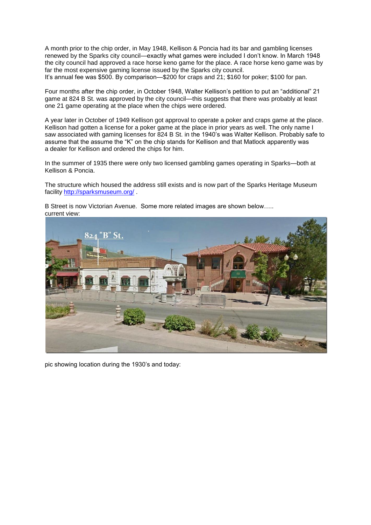A month prior to the chip order, in May 1948, Kellison & Poncia had its bar and gambling licenses renewed by the Sparks city council—exactly what games were included I don't know. In March 1948 the city council had approved a race horse keno game for the place. A race horse keno game was by far the most expensive gaming license issued by the Sparks city council.

It's annual fee was \$500. By comparison—\$200 for craps and 21; \$160 for poker; \$100 for pan.

Four months after the chip order, in October 1948, Walter Kellison's petition to put an "additional" 21 game at 824 B St. was approved by the city council—this suggests that there was probably at least one 21 game operating at the place when the chips were ordered.

A year later in October of 1949 Kellison got approval to operate a poker and craps game at the place. Kellison had gotten a license for a poker game at the place in prior years as well. The only name I saw associated with gaming licenses for 824 B St. in the 1940's was Walter Kellison. Probably safe to assume that the assume the "K" on the chip stands for Kellison and that Matlock apparently was a dealer for Kellison and ordered the chips for him.

In the summer of 1935 there were only two licensed gambling games operating in Sparks—both at Kellison & Poncia.

The structure which housed the address still exists and is now part of the Sparks Heritage Museum facility<http://sparksmuseum.org/> .



B Street is now Victorian Avenue. Some more related images are shown below….. current view:

pic showing location during the 1930's and today: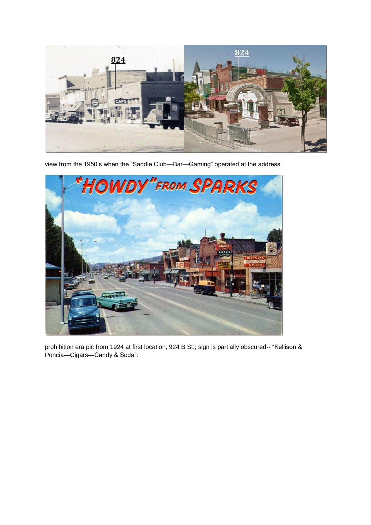

view from the 1950's when the "Saddle Club—Bar—Gaming" operated at the address



prohibition era pic from 1924 at first location, 924 B St.; sign is partially obscured-- "Kellison & Poncia—Cigars—Candy & Soda":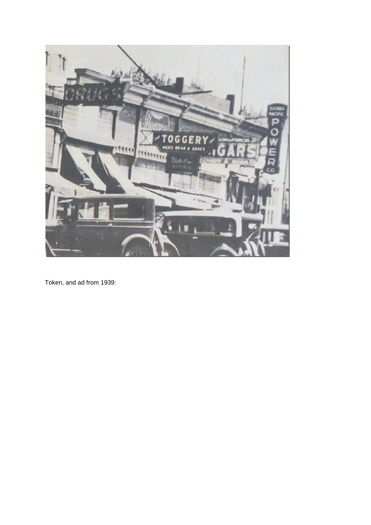

Token, and ad from 1939: